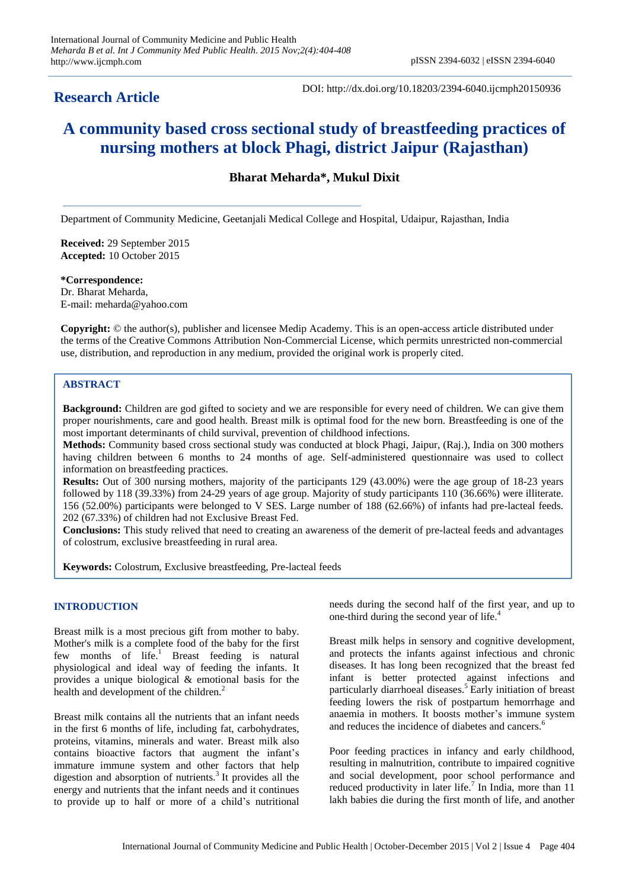## **Research Article**

DOI: http://dx.doi.org/10.18203/2394-6040.ijcmph20150936

# **A community based cross sectional study of breastfeeding practices of nursing mothers at block Phagi, district Jaipur (Rajasthan)**

**Bharat Meharda\*, Mukul Dixit**

Department of Community Medicine, Geetanjali Medical College and Hospital, Udaipur, Rajasthan, India

**Received:** 29 September 2015 **Accepted:** 10 October 2015

**\*Correspondence:** Dr. Bharat Meharda, E-mail: meharda@yahoo.com

**Copyright:** © the author(s), publisher and licensee Medip Academy. This is an open-access article distributed under the terms of the Creative Commons Attribution Non-Commercial License, which permits unrestricted non-commercial use, distribution, and reproduction in any medium, provided the original work is properly cited.

### **ABSTRACT**

**Background:** Children are god gifted to society and we are responsible for every need of children. We can give them proper nourishments, care and good health. Breast milk is optimal food for the new born. Breastfeeding is one of the most important determinants of child survival, prevention of childhood infections.

**Methods:** Community based cross sectional study was conducted at block Phagi, Jaipur, (Raj.), India on 300 mothers having children between 6 months to 24 months of age. Self-administered questionnaire was used to collect information on breastfeeding practices.

**Results:** Out of 300 nursing mothers, majority of the participants 129 (43.00%) were the age group of 18-23 years followed by 118 (39.33%) from 24-29 years of age group. Majority of study participants 110 (36.66%) were illiterate. 156 (52.00%) participants were belonged to V SES. Large number of 188 (62.66%) of infants had pre-lacteal feeds. 202 (67.33%) of children had not Exclusive Breast Fed.

**Conclusions:** This study relived that need to creating an awareness of the demerit of pre-lacteal feeds and advantages of colostrum, exclusive breastfeeding in rural area.

**Keywords:** Colostrum, Exclusive breastfeeding, Pre-lacteal feeds

#### **INTRODUCTION**

Breast milk is a most precious gift from mother to baby. Mother's milk is a complete food of the baby for the first few months of  $life$ .<sup>1</sup> Breast feeding is natural physiological and ideal way of feeding the infants. It provides a unique biological & emotional basis for the health and development of the children.<sup>2</sup>

Breast milk contains all the nutrients that an infant needs in the first 6 months of life, including fat, carbohydrates, proteins, vitamins, minerals and water. Breast milk also contains bioactive factors that augment the infant's immature immune system and other factors that help digestion and absorption of nutrients.<sup>3</sup> It provides all the energy and nutrients that the infant needs and it continues to provide up to half or more of a child's nutritional needs during the second half of the first year, and up to one-third during the second year of life.<sup>4</sup>

Breast milk helps in sensory and cognitive development, and protects the infants against infectious and chronic diseases. It has long been recognized that the breast fed infant is better protected against infections and particularly diarrhoeal diseases.<sup>5</sup> Early initiation of breast feeding lowers the risk of postpartum hemorrhage and anaemia in mothers. It boosts mother's immune system and reduces the incidence of diabetes and cancers.<sup>6</sup>

Poor feeding practices in infancy and early childhood, resulting in malnutrition, contribute to impaired cognitive and social development, poor school performance and reduced productivity in later life.<sup>7</sup> In India, more than  $11$ lakh babies die during the first month of life, and another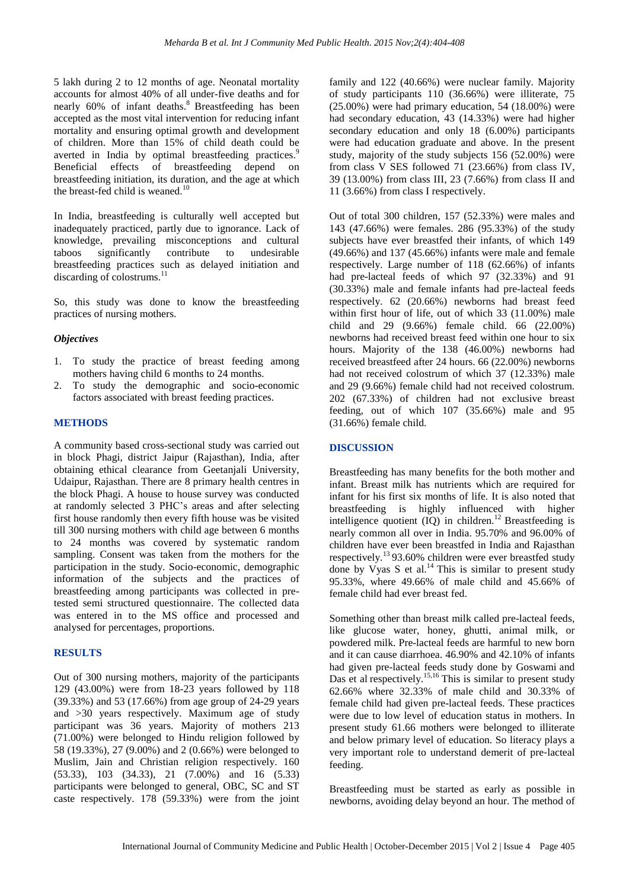5 lakh during 2 to 12 months of age. Neonatal mortality accounts for almost 40% of all under-five deaths and for nearly 60% of infant deaths.<sup>8</sup> Breastfeeding has been accepted as the most vital intervention for reducing infant mortality and ensuring optimal growth and development of children. More than 15% of child death could be averted in India by optimal breastfeeding practices.<sup>9</sup> Beneficial effects of breastfeeding depend on breastfeeding initiation, its duration, and the age at which the breast-fed child is weaned.<sup>10</sup>

In India, breastfeeding is culturally well accepted but inadequately practiced, partly due to ignorance. Lack of knowledge, prevailing misconceptions and cultural taboos significantly contribute to undesirable breastfeeding practices such as delayed initiation and discarding of colostrums.<sup>11</sup>

So, this study was done to know the breastfeeding practices of nursing mothers.

#### *Objectives*

- 1. To study the practice of breast feeding among mothers having child 6 months to 24 months.
- 2. To study the demographic and socio-economic factors associated with breast feeding practices.

#### **METHODS**

A community based cross-sectional study was carried out in block Phagi, district Jaipur (Rajasthan), India, after obtaining ethical clearance from Geetanjali University, Udaipur, Rajasthan. There are 8 primary health centres in the block Phagi. A house to house survey was conducted at randomly selected 3 PHC's areas and after selecting first house randomly then every fifth house was be visited till 300 nursing mothers with child age between 6 months to 24 months was covered by systematic random sampling. Consent was taken from the mothers for the participation in the study. Socio-economic, demographic information of the subjects and the practices of breastfeeding among participants was collected in pretested semi structured questionnaire. The collected data was entered in to the MS office and processed and analysed for percentages, proportions.

#### **RESULTS**

Out of 300 nursing mothers, majority of the participants 129 (43.00%) were from 18-23 years followed by 118 (39.33%) and 53 (17.66%) from age group of 24-29 years and >30 years respectively. Maximum age of study participant was 36 years. Majority of mothers 213 (71.00%) were belonged to Hindu religion followed by 58 (19.33%), 27 (9.00%) and 2 (0.66%) were belonged to Muslim, Jain and Christian religion respectively. 160 (53.33), 103 (34.33), 21 (7.00%) and 16 (5.33) participants were belonged to general, OBC, SC and ST caste respectively. 178 (59.33%) were from the joint family and 122 (40.66%) were nuclear family. Majority of study participants 110 (36.66%) were illiterate, 75  $(25.00\%)$  were had primary education, 54  $(18.00\%)$  were had secondary education, 43 (14.33%) were had higher secondary education and only 18 (6.00%) participants were had education graduate and above. In the present study, majority of the study subjects 156 (52.00%) were from class V SES followed 71 (23.66%) from class IV, 39 (13.00%) from class III, 23 (7.66%) from class II and 11 (3.66%) from class I respectively.

Out of total 300 children, 157 (52.33%) were males and 143 (47.66%) were females. 286 (95.33%) of the study subjects have ever breastfed their infants, of which 149 (49.66%) and 137 (45.66%) infants were male and female respectively. Large number of 118 (62.66%) of infants had pre-lacteal feeds of which 97 (32.33%) and 91 (30.33%) male and female infants had pre-lacteal feeds respectively. 62 (20.66%) newborns had breast feed within first hour of life, out of which 33 (11.00%) male child and 29 (9.66%) female child. 66 (22.00%) newborns had received breast feed within one hour to six hours. Majority of the 138 (46.00%) newborns had received breastfeed after 24 hours. 66 (22.00%) newborns had not received colostrum of which 37 (12.33%) male and 29 (9.66%) female child had not received colostrum. 202 (67.33%) of children had not exclusive breast feeding, out of which 107 (35.66%) male and 95 (31.66%) female child.

#### **DISCUSSION**

Breastfeeding has many benefits for the both mother and infant. Breast milk has nutrients which are required for infant for his first six months of life. It is also noted that breastfeeding is highly influenced with higher intelligence quotient  $(\overline{IQ})$  in children.<sup>12</sup> Breastfeeding is nearly common all over in India. 95.70% and 96.00% of children have ever been breastfed in India and Rajasthan respectively.<sup>13</sup> 93.60% children were ever breastfed study done by Vyas S et al.<sup>14</sup> This is similar to present study 95.33%, where 49.66% of male child and 45.66% of female child had ever breast fed.

Something other than breast milk called pre-lacteal feeds, like glucose water, honey, ghutti, animal milk, or powdered milk. Pre-lacteal feeds are harmful to new born and it can cause diarrhoea. 46.90% and 42.10% of infants had given pre-lacteal feeds study done by Goswami and Das et al respectively.<sup>15,16</sup> This is similar to present study 62.66% where 32.33% of male child and 30.33% of female child had given pre-lacteal feeds. These practices were due to low level of education status in mothers. In present study 61.66 mothers were belonged to illiterate and below primary level of education. So literacy plays a very important role to understand demerit of pre‑lacteal feeding.

Breastfeeding must be started as early as possible in newborns, avoiding delay beyond an hour. The method of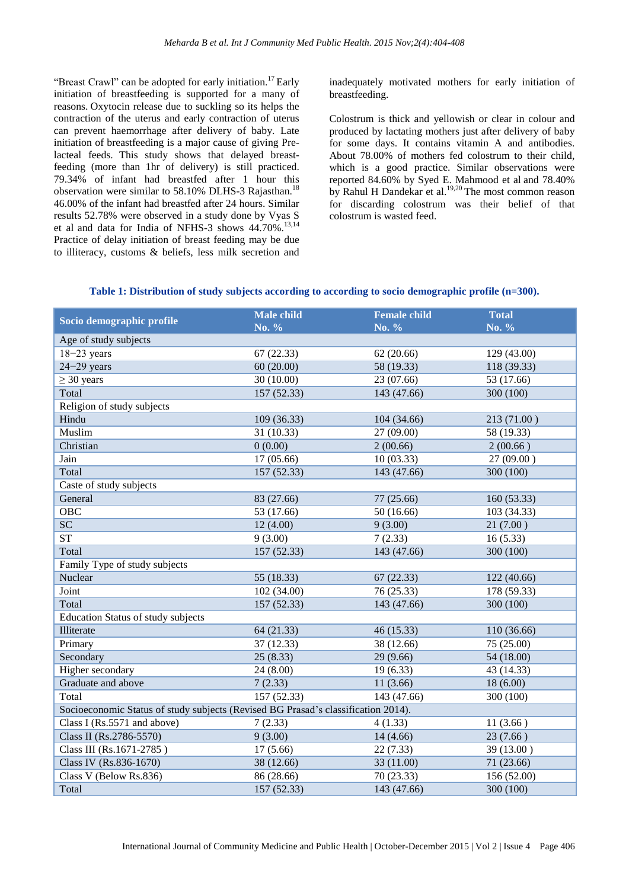"Breast Crawl" can be adopted for early initiation.<sup>17</sup> Early initiation of breastfeeding is supported for a many of reasons. Oxytocin release due to suckling so its helps the contraction of the uterus and early contraction of uterus can prevent haemorrhage after delivery of baby. Late initiation of breastfeeding is a major cause of giving Prelacteal feeds. This study shows that delayed breastfeeding (more than 1hr of delivery) is still practiced. 79.34% of infant had breastfed after 1 hour this observation were similar to 58.10% DLHS-3 Rajasthan.<sup>18</sup> 46.00% of the infant had breastfed after 24 hours. Similar results 52.78% were observed in a study done by Vyas S et al and data for India of NFHS-3 shows 44.70%.<sup>13,14</sup> Practice of delay initiation of breast feeding may be due to illiteracy, customs & beliefs, less milk secretion and inadequately motivated mothers for early initiation of breastfeeding.

Colostrum is thick and yellowish or clear in colour and produced by lactating mothers just after delivery of baby for some days. It contains vitamin A and antibodies. About 78.00% of mothers fed colostrum to their child, which is a good practice. Similar observations were reported 84.60% by Syed E. Mahmood et al and 78.40% by Rahul H Dandekar et al.<sup>19,20</sup> The most common reason for discarding colostrum was their belief of that colostrum is wasted feed.

|  |  |  | Table 1: Distribution of study subjects according to according to socio demographic profile (n=300). |
|--|--|--|------------------------------------------------------------------------------------------------------|
|  |  |  |                                                                                                      |

| Socio demographic profile                                                         | <b>Male child</b><br>No. % | <b>Female child</b><br>No. % | <b>Total</b><br>No. % |  |  |
|-----------------------------------------------------------------------------------|----------------------------|------------------------------|-----------------------|--|--|
| Age of study subjects                                                             |                            |                              |                       |  |  |
| $18 - 23$ years                                                                   | 67(22.33)                  | 62(20.66)                    | 129 (43.00)           |  |  |
| $24 - 29$ years                                                                   | 60(20.00)                  | 58 (19.33)                   | 118 (39.33)           |  |  |
| $\geq$ 30 years                                                                   | 30 (10.00)                 | 23 (07.66)                   | 53 (17.66)            |  |  |
| Total                                                                             | 157 (52.33)                | 143 (47.66)                  | 300 (100)             |  |  |
| Religion of study subjects                                                        |                            |                              |                       |  |  |
| Hindu                                                                             | 109(36.33)                 | 104 (34.66)                  | 213 (71.00)           |  |  |
| Muslim                                                                            | 31 (10.33)                 | 27 (09.00)                   | 58 (19.33)            |  |  |
| Christian                                                                         | 0(0.00)                    | 2(00.66)                     | 2(00.66)              |  |  |
| Jain                                                                              | 17 (05.66)                 | 10(03.33)                    | 27(09.00)             |  |  |
| Total                                                                             | 157 (52.33)                | 143 (47.66)                  | 300 (100)             |  |  |
| Caste of study subjects                                                           |                            |                              |                       |  |  |
| General                                                                           | 83 (27.66)                 | 77 (25.66)                   | 160 (53.33)           |  |  |
| <b>OBC</b>                                                                        | 53 (17.66)                 | 50(16.66)                    | 103 (34.33)           |  |  |
| SC                                                                                | 12(4.00)                   | 9(3.00)                      | 21(7.00)              |  |  |
| <b>ST</b>                                                                         | 9(3.00)                    | 7(2.33)                      | 16(5.33)              |  |  |
| Total                                                                             | 157 (52.33)                | 143 (47.66)                  | 300 (100)             |  |  |
| Family Type of study subjects                                                     |                            |                              |                       |  |  |
| Nuclear                                                                           | 55 (18.33)                 | 67(22.33)                    | 122 (40.66)           |  |  |
| Joint                                                                             | 102 (34.00)                | 76 (25.33)                   | 178 (59.33)           |  |  |
| Total                                                                             | 157 (52.33)                | 143 (47.66)                  | 300 (100)             |  |  |
| <b>Education Status of study subjects</b>                                         |                            |                              |                       |  |  |
| Illiterate                                                                        | 64 (21.33)                 | 46 (15.33)                   | 110 (36.66)           |  |  |
| Primary                                                                           | 37 (12.33)                 | 38 (12.66)                   | 75 (25.00)            |  |  |
| Secondary                                                                         | 25(8.33)                   | 29 (9.66)                    | 54 (18.00)            |  |  |
| Higher secondary                                                                  | 24 (8.00)                  | 19(6.33)                     | 43 (14.33)            |  |  |
| Graduate and above                                                                | 7(2.33)                    | 11(3.66)                     | 18(6.00)              |  |  |
| Total                                                                             | $\overline{157(52.33)}$    | 143 (47.66)                  | 300 (100)             |  |  |
| Socioeconomic Status of study subjects (Revised BG Prasad's classification 2014). |                            |                              |                       |  |  |
| Class I (Rs.5571 and above)                                                       | 7(2.33)                    | 4(1.33)                      | 11(3.66)              |  |  |
| Class II (Rs.2786-5570)                                                           | 9(3.00)                    | 14(4.66)                     | 23(7.66)              |  |  |
| Class III (Rs.1671-2785)                                                          | 17(5.66)                   | 22(7.33)                     | 39 (13.00)            |  |  |
| Class IV (Rs.836-1670)                                                            | 38(12.66)                  | 33 (11.00)                   | 71 (23.66)            |  |  |
| Class V (Below Rs.836)                                                            | 86 (28.66)                 | 70 (23.33)                   | 156 (52.00)           |  |  |
| Total                                                                             | 157 (52.33)                | 143 (47.66)                  | 300 (100)             |  |  |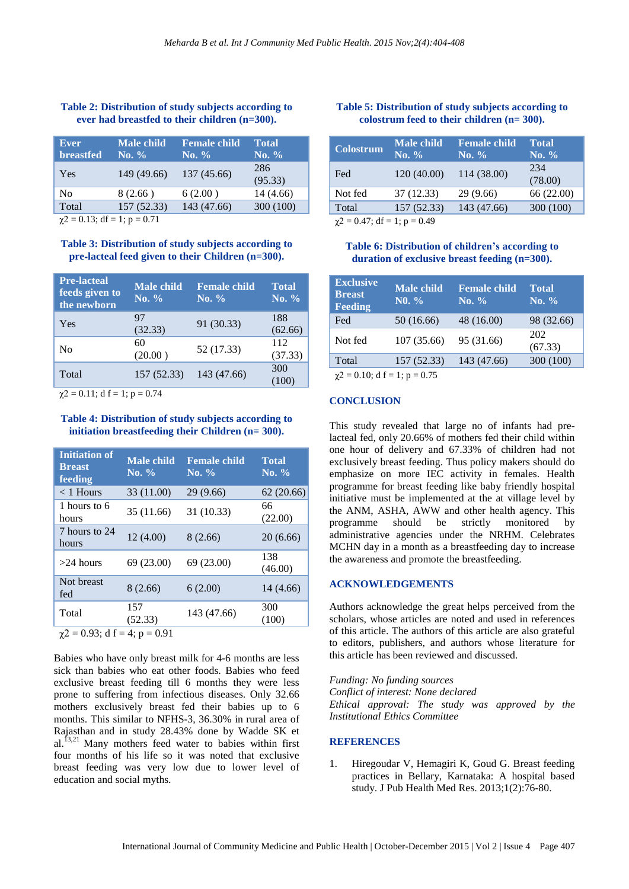#### **Table 2: Distribution of study subjects according to ever had breastfed to their children (n=300).**

| Ever<br><b>breastfed</b> | <b>Male child</b><br>No. $\%$ | <b>Female child</b><br>No. $\%$ | <b>Total</b><br>No. $\%$ |
|--------------------------|-------------------------------|---------------------------------|--------------------------|
| Yes                      | 149 (49.66)                   | 137 (45.66)                     | 286<br>(95.33)           |
| No                       | 8(2.66)                       | 6(2.00)                         | 14 (4.66)                |
| Total                    | 157 (52.33)                   | 143 (47.66)                     | 300 (100)                |
|                          |                               |                                 |                          |

 $\gamma$ 2 = 0.13; df = 1; p = 0.71

#### **Table 3: Distribution of study subjects according to pre**‑**lacteal feed given to their Children (n=300).**

| <b>Pre-lacteal</b><br>feeds given to<br>the newborn | <b>Male</b> child<br>No. $\%$ | <b>Female child</b><br>No. $%$ | <b>Total</b><br>No. $%$ |
|-----------------------------------------------------|-------------------------------|--------------------------------|-------------------------|
| Yes                                                 | 97<br>(32.33)                 | 91 (30.33)                     | 188<br>(62.66)          |
| N <sub>0</sub>                                      | 60<br>(20.00)                 | 52 (17.33)                     | 112<br>(37.33)          |
| Total                                               | 157 (52.33)                   | 143 (47.66)                    | 300<br>(100)            |
|                                                     |                               |                                |                         |

 $\chi$ 2 = 0.11; d f = 1; p = 0.74

#### **Table 4: Distribution of study subjects according to initiation breastfeeding their Children (n= 300).**

| <b>Initiation of</b><br><b>Breast</b><br>feeding | <b>Male child</b><br>No. $\%$ | <b>Female child</b><br>No. $%$ | <b>Total</b><br>No. $\%$ |
|--------------------------------------------------|-------------------------------|--------------------------------|--------------------------|
| $<$ 1 Hours                                      | 33 (11.00)                    | 29(9.66)                       | 62(20.66)                |
| 1 hours to 6<br>hours                            | 35 (11.66)                    | 31 (10.33)                     | 66<br>(22.00)            |
| 7 hours to 24<br>hours                           | 12(4.00)                      | 8 (2.66)                       | 20(6.66)                 |
| $>24$ hours                                      | 69 (23.00)                    | 69 (23.00)                     | 138<br>(46.00)           |
| Not breast<br>fed                                | 8(2.66)                       | 6(2.00)                        | 14 (4.66)                |
| Total                                            | 157<br>(52.33)                | 143 (47.66)                    | 300<br>(100)             |
| $\sim$<br>$0.02 \pm 1.0$                         | $\Omega$ $\Omega$ 1           |                                |                          |

 $\gamma$ 2 = 0.93; d f = 4; p = 0.91

Babies who have only breast milk for 4-6 months are less sick than babies who eat other foods. Babies who feed exclusive breast feeding till 6 months they were less prone to suffering from infectious diseases. Only 32.66 mothers exclusively breast fed their babies up to 6 months. This similar to NFHS-3, 36.30% in rural area of Rajasthan and in study 28.43% done by Wadde SK et al.<sup>13,21</sup> Many mothers feed water to babies within first four months of his life so it was noted that exclusive breast feeding was very low due to lower level of education and social myths.

#### **Table 5: Distribution of study subjects according to colostrum feed to their children (n= 300).**

| <b>Colostrum</b>            | <b>Male child</b><br>No. $\%$ | <b>Female child</b><br>No. $\%$ | <b>Total</b><br>$N_0$ , % |  |
|-----------------------------|-------------------------------|---------------------------------|---------------------------|--|
| Fed                         | 120(40.00)                    | 114 (38.00)                     | 234<br>(78.00)            |  |
| Not fed                     | 37(12.33)                     | 29 (9.66)                       | 66 (22.00)                |  |
| Total                       | 157 (52.33)                   | 143 (47.66)                     | 300 (100)                 |  |
| $.2 \t0.47.11 \t1.2 \t0.40$ |                               |                                 |                           |  |

 $\chi$ 2 = 0.47; df = 1; p = 0.49

#### **Table 6: Distribution of children's according to duration of exclusive breast feeding (n=300).**

| <b>Exclusive</b><br><b>Breast</b><br><b>Feeding</b> | <b>Male child</b><br>$N0. \%$ | <b>Female child</b><br>No. $\%$ | <b>Total</b><br>No. $\%$ |  |
|-----------------------------------------------------|-------------------------------|---------------------------------|--------------------------|--|
| Fed                                                 | 50 (16.66)                    | 48(16.00)                       | 98 (32.66)               |  |
| Not fed                                             | 107 (35.66)                   | 95 (31.66)                      | 202<br>(67.33)           |  |
| Total                                               | 157 (52.33)                   | 143 (47.66)                     | 300 (100)                |  |
| $\gamma$ 2 = 0.10; d f = 1; p = 0.75                |                               |                                 |                          |  |

#### **CONCLUSION**

This study revealed that large no of infants had prelacteal fed, only 20.66% of mothers fed their child within one hour of delivery and 67.33% of children had not exclusively breast feeding. Thus policy makers should do emphasize on more IEC activity in females. Health programme for breast feeding like baby friendly hospital initiative must be implemented at the at village level by the ANM, ASHA, AWW and other health agency. This programme should be strictly monitored by administrative agencies under the NRHM. Celebrates MCHN day in a month as a breastfeeding day to increase the awareness and promote the breastfeeding.

#### **ACKNOWLEDGEMENTS**

Authors acknowledge the great helps perceived from the scholars, whose articles are noted and used in references of this article. The authors of this article are also grateful to editors, publishers, and authors whose literature for this article has been reviewed and discussed.

*Funding: No funding sources Conflict of interest: None declared Ethical approval: The study was approved by the Institutional Ethics Committee*

#### **REFERENCES**

1. Hiregoudar V, Hemagiri K, Goud G. Breast feeding practices in Bellary, Karnataka: A hospital based study. J Pub Health Med Res. 2013;1(2):76-80.